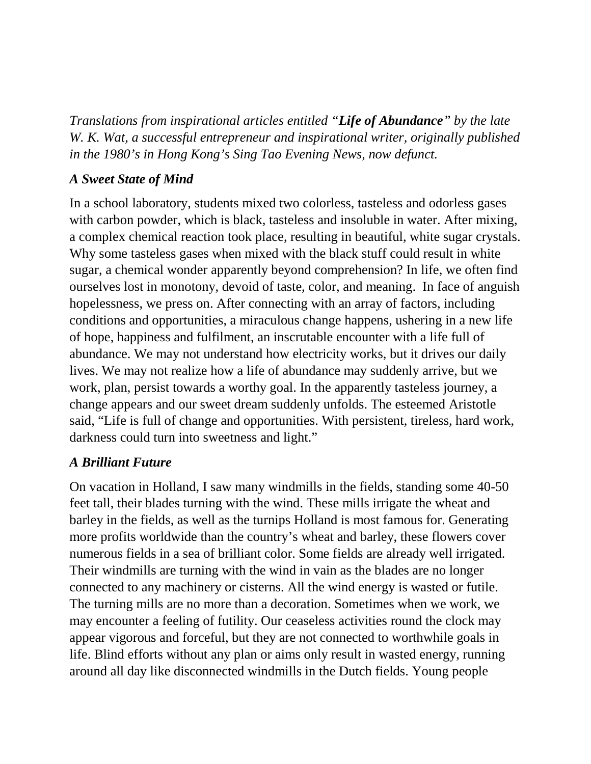*Translations from inspirational articles entitled "Life of Abundance" by the late W. K. Wat, a successful entrepreneur and inspirational writer, originally published in the 1980's in Hong Kong's Sing Tao Evening News, now defunct.* 

## *A Sweet State of Mind*

In a school laboratory, students mixed two colorless, tasteless and odorless gases with carbon powder, which is black, tasteless and insoluble in water. After mixing, a complex chemical reaction took place, resulting in beautiful, white sugar crystals. Why some tasteless gases when mixed with the black stuff could result in white sugar, a chemical wonder apparently beyond comprehension? In life, we often find ourselves lost in monotony, devoid of taste, color, and meaning. In face of anguish hopelessness, we press on. After connecting with an array of factors, including conditions and opportunities, a miraculous change happens, ushering in a new life of hope, happiness and fulfilment, an inscrutable encounter with a life full of abundance. We may not understand how electricity works, but it drives our daily lives. We may not realize how a life of abundance may suddenly arrive, but we work, plan, persist towards a worthy goal. In the apparently tasteless journey, a change appears and our sweet dream suddenly unfolds. The esteemed Aristotle said, "Life is full of change and opportunities. With persistent, tireless, hard work, darkness could turn into sweetness and light."

## *A Brilliant Future*

On vacation in Holland, I saw many windmills in the fields, standing some 40-50 feet tall, their blades turning with the wind. These mills irrigate the wheat and barley in the fields, as well as the turnips Holland is most famous for. Generating more profits worldwide than the country's wheat and barley, these flowers cover numerous fields in a sea of brilliant color. Some fields are already well irrigated. Their windmills are turning with the wind in vain as the blades are no longer connected to any machinery or cisterns. All the wind energy is wasted or futile. The turning mills are no more than a decoration. Sometimes when we work, we may encounter a feeling of futility. Our ceaseless activities round the clock may appear vigorous and forceful, but they are not connected to worthwhile goals in life. Blind efforts without any plan or aims only result in wasted energy, running around all day like disconnected windmills in the Dutch fields. Young people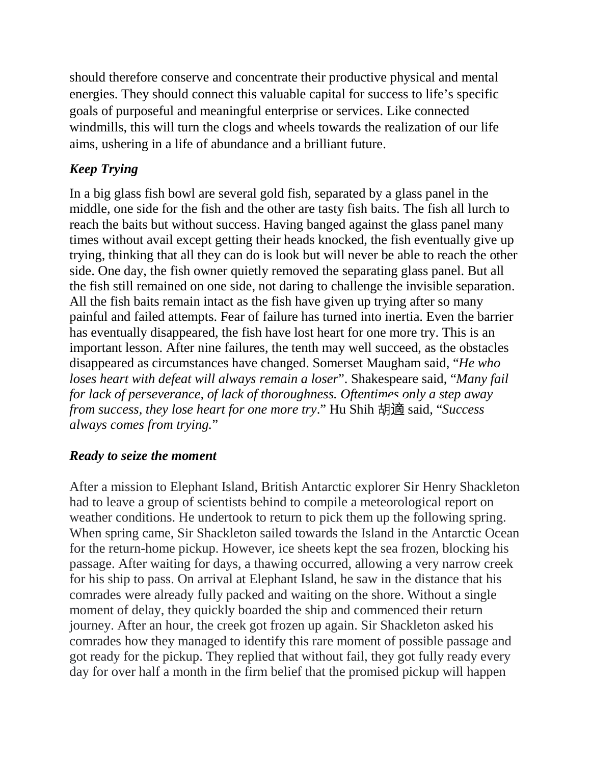should therefore conserve and concentrate their productive physical and mental energies. They should connect this valuable capital for success to life's specific goals of purposeful and meaningful enterprise or services. Like connected windmills, this will turn the clogs and wheels towards the realization of our life aims, ushering in a life of abundance and a brilliant future.

## *Keep Trying*

In a big glass fish bowl are several gold fish, separated by a glass panel in the middle, one side for the fish and the other are tasty fish baits. The fish all lurch to reach the baits but without success. Having banged against the glass panel many times without avail except getting their heads knocked, the fish eventually give up trying, thinking that all they can do is look but will never be able to reach the other side. One day, the fish owner quietly removed the separating glass panel. But all the fish still remained on one side, not daring to challenge the invisible separation. All the fish baits remain intact as the fish have given up trying after so many painful and failed attempts. Fear of failure has turned into inertia. Even the barrier has eventually disappeared, the fish have lost heart for one more try. This is an important lesson. After nine failures, the tenth may well succeed, as the obstacles disappeared as circumstances have changed. Somerset Maugham said, "*He who loses heart with defeat will always remain a loser*". Shakespeare said, "*Many fail for lack of perseverance, of lack of thoroughness. Oftentimes only a step away from success, they lose heart for one more try*." Hu Shih 胡適 said, "*Success always comes from trying.*"

## *Ready to seize the moment*

After a mission to Elephant Island, British Antarctic explorer Sir Henry Shackleton had to leave a group of scientists behind to compile a meteorological report on weather conditions. He undertook to return to pick them up the following spring. When spring came, Sir Shackleton sailed towards the Island in the Antarctic Ocean for the return-home pickup. However, ice sheets kept the sea frozen, blocking his passage. After waiting for days, a thawing occurred, allowing a very narrow creek for his ship to pass. On arrival at Elephant Island, he saw in the distance that his comrades were already fully packed and waiting on the shore. Without a single moment of delay, they quickly boarded the ship and commenced their return journey. After an hour, the creek got frozen up again. Sir Shackleton asked his comrades how they managed to identify this rare moment of possible passage and got ready for the pickup. They replied that without fail, they got fully ready every day for over half a month in the firm belief that the promised pickup will happen